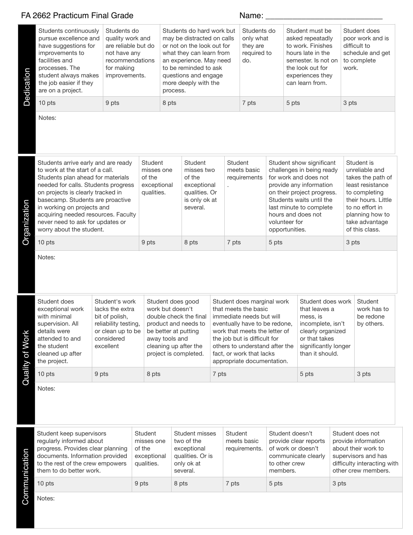|                 | FA 2662 Practicum Final Grade                                                                                                                                                                                                                                                                                                                                    |                                                                                                                             |                                        |                                                                                                                                                                                                                                   | Name: |                                                |                                                                                                                                                                                                                                                                              |                                                                                                                    |                                                                                                                                                                                                                                                         |                                                                                                                                             |                                                                                                                                                                                         |  |
|-----------------|------------------------------------------------------------------------------------------------------------------------------------------------------------------------------------------------------------------------------------------------------------------------------------------------------------------------------------------------------------------|-----------------------------------------------------------------------------------------------------------------------------|----------------------------------------|-----------------------------------------------------------------------------------------------------------------------------------------------------------------------------------------------------------------------------------|-------|------------------------------------------------|------------------------------------------------------------------------------------------------------------------------------------------------------------------------------------------------------------------------------------------------------------------------------|--------------------------------------------------------------------------------------------------------------------|---------------------------------------------------------------------------------------------------------------------------------------------------------------------------------------------------------------------------------------------------------|---------------------------------------------------------------------------------------------------------------------------------------------|-----------------------------------------------------------------------------------------------------------------------------------------------------------------------------------------|--|
| Dedication      | Students continuously<br>pursue excellence and<br>have suggestions for<br>improvements to<br>facilities and<br>processes. The<br>student always makes<br>the job easier if they<br>are on a project.                                                                                                                                                             | Students do<br>quality work and<br>are reliable but do<br>not have any<br>recommendations<br>for making<br>improvements.    |                                        | Students do hard work but<br>may be distracted on calls<br>or not on the look out for<br>what they can learn from<br>an experience. May need<br>to be reminded to ask<br>questions and engage<br>more deeply with the<br>process. |       |                                                | Students do<br>only what<br>they are<br>required to<br>do.                                                                                                                                                                                                                   |                                                                                                                    | Student must be<br>asked repeatadly<br>to work. Finishes<br>hours late in the<br>semester. Is not on<br>the look out for<br>experiences they<br>can learn from.                                                                                         | work.                                                                                                                                       | Student does<br>poor work and is<br>difficult to<br>schedule and get<br>to complete                                                                                                     |  |
|                 | 10 pts                                                                                                                                                                                                                                                                                                                                                           | 9 pts                                                                                                                       |                                        | 8 pts                                                                                                                                                                                                                             |       | 7 pts<br>5 pts                                 |                                                                                                                                                                                                                                                                              |                                                                                                                    | 3 pts                                                                                                                                                                                                                                                   |                                                                                                                                             |                                                                                                                                                                                         |  |
|                 | Notes:                                                                                                                                                                                                                                                                                                                                                           |                                                                                                                             |                                        |                                                                                                                                                                                                                                   |       |                                                |                                                                                                                                                                                                                                                                              |                                                                                                                    |                                                                                                                                                                                                                                                         |                                                                                                                                             |                                                                                                                                                                                         |  |
| Organization    | Students arrive early and are ready<br>to work at the start of a call.<br>Students plan ahead for materials<br>needed for calls. Students progress<br>on projects is clearly tracked in<br>basecamp. Students are proactive<br>in working on projects and<br>acquiring needed resources. Faculty<br>never need to ask for updates or<br>worry about the student. |                                                                                                                             | Student<br>of the                      | <b>Student</b><br>misses one<br>misses two<br>of the<br>exceptional<br>exceptional<br>qualities.<br>qualities. Or<br>is only ok at<br>several.                                                                                    |       |                                                | Student<br>meets basic<br>requirements                                                                                                                                                                                                                                       |                                                                                                                    | Student show significant<br>challenges in being ready<br>for work and does not<br>provide any information<br>on their project progress.<br>Students waits until the<br>last minute to complete<br>hours and does not<br>volunteer for<br>opportunities. |                                                                                                                                             | Student is<br>unreliable and<br>takes the path of<br>least resistance<br>to completing<br>their hours. Little<br>to no effort in<br>planning how to<br>take advantage<br>of this class. |  |
|                 | 10 pts                                                                                                                                                                                                                                                                                                                                                           |                                                                                                                             |                                        | 9 pts<br>8 pts                                                                                                                                                                                                                    |       | 7 pts<br>5 pts                                 |                                                                                                                                                                                                                                                                              | 3 pts                                                                                                              |                                                                                                                                                                                                                                                         |                                                                                                                                             |                                                                                                                                                                                         |  |
|                 | Notes:                                                                                                                                                                                                                                                                                                                                                           |                                                                                                                             |                                        |                                                                                                                                                                                                                                   |       |                                                |                                                                                                                                                                                                                                                                              |                                                                                                                    |                                                                                                                                                                                                                                                         |                                                                                                                                             |                                                                                                                                                                                         |  |
| Quality of Work | Student does<br>exceptional work<br>with minimal<br>supervision. All<br>details were<br>attended to and<br>the student<br>cleaned up after<br>the project.                                                                                                                                                                                                       | Student's work<br>lacks the extra<br>bit of polish,<br>reliability testing,<br>or clean up to be<br>considered<br>excellent |                                        | Student does good<br>work but doesn't<br>double check the final<br>product and needs to<br>be better at putting<br>away tools and<br>cleaning up after the<br>project is completed.                                               |       |                                                | Student does marginal work<br>that meets the basic<br>immediate needs but will<br>eventually have to be redone,<br>work that meets the letter of<br>the job but is difficult for<br>others to understand after the<br>fact, or work that lacks<br>appropriate documentation. |                                                                                                                    | Student does work<br>that leaves a<br>mess, is<br>incomplete, isn't<br>clearly organized<br>or that takes<br>significantly longer<br>than it should.                                                                                                    |                                                                                                                                             | <b>Student</b><br>work has to<br>be redone<br>by others.                                                                                                                                |  |
|                 | 10 pts                                                                                                                                                                                                                                                                                                                                                           | 9 pts                                                                                                                       | 8 pts                                  |                                                                                                                                                                                                                                   | 7 pts |                                                |                                                                                                                                                                                                                                                                              |                                                                                                                    | 5 pts                                                                                                                                                                                                                                                   |                                                                                                                                             | 3 pts                                                                                                                                                                                   |  |
|                 | Notes:                                                                                                                                                                                                                                                                                                                                                           |                                                                                                                             |                                        |                                                                                                                                                                                                                                   |       |                                                |                                                                                                                                                                                                                                                                              |                                                                                                                    |                                                                                                                                                                                                                                                         |                                                                                                                                             |                                                                                                                                                                                         |  |
| Communication   | Student keep supervisors<br>regularly informed about<br>progress. Provides clear planning<br>documents. Information provided<br>to the rest of the crew empowers<br>them to do better work.                                                                                                                                                                      |                                                                                                                             | <b>Student</b><br>of the<br>qualities. | <b>Student misses</b><br>two of the<br>misses one<br>exceptional<br>qualities. Or is<br>exceptional<br>only ok at<br>several.                                                                                                     |       | <b>Student</b><br>meets basic<br>requirements. |                                                                                                                                                                                                                                                                              | Student doesn't<br>provide clear reports<br>of work or doesn't<br>communicate clearly<br>to other crew<br>members. |                                                                                                                                                                                                                                                         | Student does not<br>provide information<br>about their work to<br>supervisors and has<br>difficulty interacting with<br>other crew members. |                                                                                                                                                                                         |  |
|                 | 10 pts                                                                                                                                                                                                                                                                                                                                                           |                                                                                                                             | 9 pts<br>8 pts                         |                                                                                                                                                                                                                                   |       | 7 pts                                          |                                                                                                                                                                                                                                                                              | 5 pts                                                                                                              |                                                                                                                                                                                                                                                         | 3 pts                                                                                                                                       |                                                                                                                                                                                         |  |
|                 | Notes:                                                                                                                                                                                                                                                                                                                                                           |                                                                                                                             |                                        |                                                                                                                                                                                                                                   |       |                                                |                                                                                                                                                                                                                                                                              |                                                                                                                    |                                                                                                                                                                                                                                                         |                                                                                                                                             |                                                                                                                                                                                         |  |

S<br>Notes: